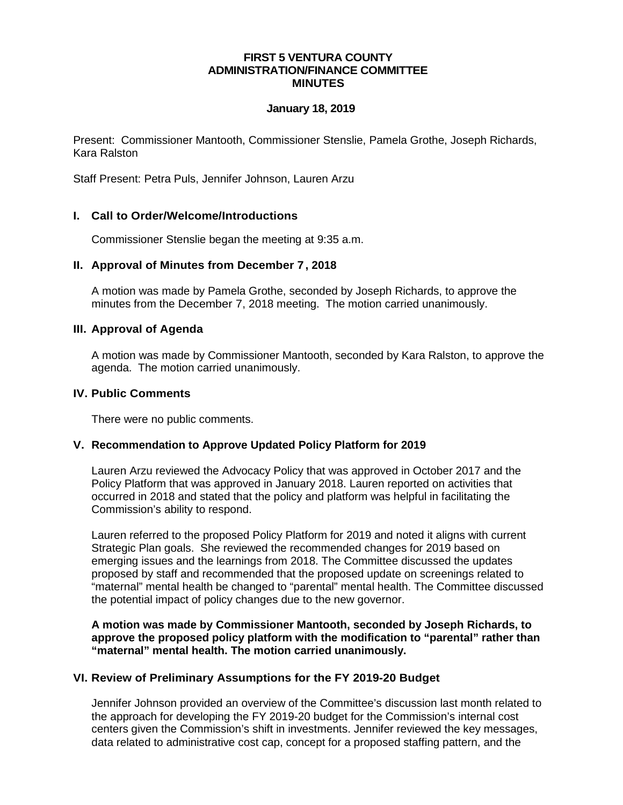#### **FIRST 5 VENTURA COUNTY ADMINISTRATION/FINANCE COMMITTEE MINUTES**

#### **January 18, 2019**

Present: Commissioner Mantooth, Commissioner Stenslie, Pamela Grothe, Joseph Richards, Kara Ralston

Staff Present: Petra Puls, Jennifer Johnson, Lauren Arzu

# **I. Call to Order/Welcome/Introductions**

Commissioner Stenslie began the meeting at 9:35 a.m.

## **II. Approval of Minutes from December 7, 2018**

A motion was made by Pamela Grothe, seconded by Joseph Richards, to approve the minutes from the December 7, 2018 meeting. The motion carried unanimously.

#### **III. Approval of Agenda**

A motion was made by Commissioner Mantooth, seconded by Kara Ralston, to approve the agenda. The motion carried unanimously.

## **IV. Public Comments**

There were no public comments.

#### **V. Recommendation to Approve Updated Policy Platform for 2019**

Lauren Arzu reviewed the Advocacy Policy that was approved in October 2017 and the Policy Platform that was approved in January 2018. Lauren reported on activities that occurred in 2018 and stated that the policy and platform was helpful in facilitating the Commission's ability to respond.

Lauren referred to the proposed Policy Platform for 2019 and noted it aligns with current Strategic Plan goals. She reviewed the recommended changes for 2019 based on emerging issues and the learnings from 2018. The Committee discussed the updates proposed by staff and recommended that the proposed update on screenings related to "maternal" mental health be changed to "parental" mental health. The Committee discussed the potential impact of policy changes due to the new governor.

**A motion was made by Commissioner Mantooth, seconded by Joseph Richards, to approve the proposed policy platform with the modification to "parental" rather than "maternal" mental health. The motion carried unanimously.**

#### **VI. Review of Preliminary Assumptions for the FY 2019-20 Budget**

Jennifer Johnson provided an overview of the Committee's discussion last month related to the approach for developing the FY 2019-20 budget for the Commission's internal cost centers given the Commission's shift in investments. Jennifer reviewed the key messages, data related to administrative cost cap, concept for a proposed staffing pattern, and the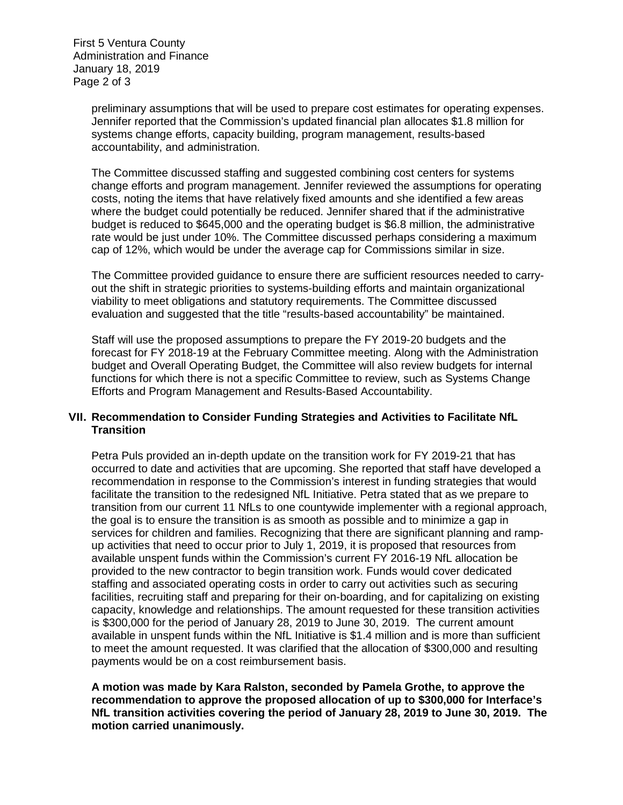First 5 Ventura County Administration and Finance January 18, 2019 Page 2 of 3

> preliminary assumptions that will be used to prepare cost estimates for operating expenses. Jennifer reported that the Commission's updated financial plan allocates \$1.8 million for systems change efforts, capacity building, program management, results-based accountability, and administration.

> The Committee discussed staffing and suggested combining cost centers for systems change efforts and program management. Jennifer reviewed the assumptions for operating costs, noting the items that have relatively fixed amounts and she identified a few areas where the budget could potentially be reduced. Jennifer shared that if the administrative budget is reduced to \$645,000 and the operating budget is \$6.8 million, the administrative rate would be just under 10%. The Committee discussed perhaps considering a maximum cap of 12%, which would be under the average cap for Commissions similar in size.

> The Committee provided guidance to ensure there are sufficient resources needed to carryout the shift in strategic priorities to systems-building efforts and maintain organizational viability to meet obligations and statutory requirements. The Committee discussed evaluation and suggested that the title "results-based accountability" be maintained.

Staff will use the proposed assumptions to prepare the FY 2019-20 budgets and the forecast for FY 2018-19 at the February Committee meeting. Along with the Administration budget and Overall Operating Budget, the Committee will also review budgets for internal functions for which there is not a specific Committee to review, such as Systems Change Efforts and Program Management and Results-Based Accountability.

## **VII. Recommendation to Consider Funding Strategies and Activities to Facilitate NfL Transition**

Petra Puls provided an in-depth update on the transition work for FY 2019-21 that has occurred to date and activities that are upcoming. She reported that staff have developed a recommendation in response to the Commission's interest in funding strategies that would facilitate the transition to the redesigned NfL Initiative. Petra stated that as we prepare to transition from our current 11 NfLs to one countywide implementer with a regional approach, the goal is to ensure the transition is as smooth as possible and to minimize a gap in services for children and families. Recognizing that there are significant planning and rampup activities that need to occur prior to July 1, 2019, it is proposed that resources from available unspent funds within the Commission's current FY 2016-19 NfL allocation be provided to the new contractor to begin transition work. Funds would cover dedicated staffing and associated operating costs in order to carry out activities such as securing facilities, recruiting staff and preparing for their on-boarding, and for capitalizing on existing capacity, knowledge and relationships. The amount requested for these transition activities is \$300,000 for the period of January 28, 2019 to June 30, 2019. The current amount available in unspent funds within the NfL Initiative is \$1.4 million and is more than sufficient to meet the amount requested. It was clarified that the allocation of \$300,000 and resulting payments would be on a cost reimbursement basis.

**A motion was made by Kara Ralston, seconded by Pamela Grothe, to approve the recommendation to approve the proposed allocation of up to \$300,000 for Interface's NfL transition activities covering the period of January 28, 2019 to June 30, 2019. The motion carried unanimously.**